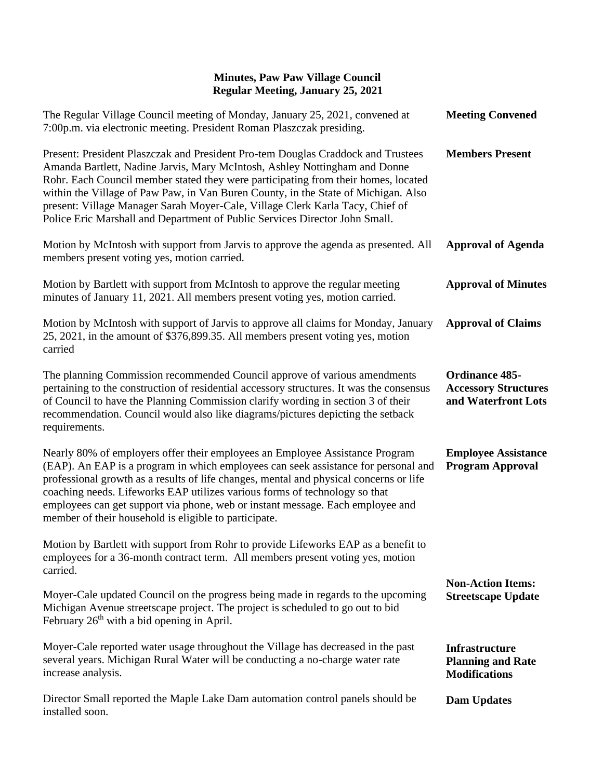## **Minutes, Paw Paw Village Council Regular Meeting, January 25, 2021**

| The Regular Village Council meeting of Monday, January 25, 2021, convened at<br>7:00p.m. via electronic meeting. President Roman Plaszczak presiding.                                                                                                                                                                                                                                                                                                                                                      | <b>Meeting Convened</b>                                                     |
|------------------------------------------------------------------------------------------------------------------------------------------------------------------------------------------------------------------------------------------------------------------------------------------------------------------------------------------------------------------------------------------------------------------------------------------------------------------------------------------------------------|-----------------------------------------------------------------------------|
| Present: President Plaszczak and President Pro-tem Douglas Craddock and Trustees<br>Amanda Bartlett, Nadine Jarvis, Mary McIntosh, Ashley Nottingham and Donne<br>Rohr. Each Council member stated they were participating from their homes, located<br>within the Village of Paw Paw, in Van Buren County, in the State of Michigan. Also<br>present: Village Manager Sarah Moyer-Cale, Village Clerk Karla Tacy, Chief of<br>Police Eric Marshall and Department of Public Services Director John Small. | <b>Members Present</b>                                                      |
| Motion by McIntosh with support from Jarvis to approve the agenda as presented. All<br>members present voting yes, motion carried.                                                                                                                                                                                                                                                                                                                                                                         | <b>Approval of Agenda</b>                                                   |
| Motion by Bartlett with support from McIntosh to approve the regular meeting<br>minutes of January 11, 2021. All members present voting yes, motion carried.                                                                                                                                                                                                                                                                                                                                               | <b>Approval of Minutes</b>                                                  |
| Motion by McIntosh with support of Jarvis to approve all claims for Monday, January<br>25, 2021, in the amount of \$376,899.35. All members present voting yes, motion<br>carried                                                                                                                                                                                                                                                                                                                          | <b>Approval of Claims</b>                                                   |
| The planning Commission recommended Council approve of various amendments<br>pertaining to the construction of residential accessory structures. It was the consensus<br>of Council to have the Planning Commission clarify wording in section 3 of their<br>recommendation. Council would also like diagrams/pictures depicting the setback<br>requirements.                                                                                                                                              | <b>Ordinance 485-</b><br><b>Accessory Structures</b><br>and Waterfront Lots |
| Nearly 80% of employers offer their employees an Employee Assistance Program<br>(EAP). An EAP is a program in which employees can seek assistance for personal and<br>professional growth as a results of life changes, mental and physical concerns or life<br>coaching needs. Lifeworks EAP utilizes various forms of technology so that<br>employees can get support via phone, web or instant message. Each employee and<br>member of their household is eligible to participate.                      | <b>Employee Assistance</b><br><b>Program Approval</b>                       |
| Motion by Bartlett with support from Rohr to provide Lifeworks EAP as a benefit to<br>employees for a 36-month contract term. All members present voting yes, motion<br>carried.                                                                                                                                                                                                                                                                                                                           |                                                                             |
| Moyer-Cale updated Council on the progress being made in regards to the upcoming<br>Michigan Avenue streetscape project. The project is scheduled to go out to bid<br>February $26th$ with a bid opening in April.                                                                                                                                                                                                                                                                                         | <b>Non-Action Items:</b><br><b>Streetscape Update</b>                       |
| Moyer-Cale reported water usage throughout the Village has decreased in the past<br>several years. Michigan Rural Water will be conducting a no-charge water rate<br>increase analysis.                                                                                                                                                                                                                                                                                                                    | <b>Infrastructure</b><br><b>Planning and Rate</b><br><b>Modifications</b>   |
| Director Small reported the Maple Lake Dam automation control panels should be<br>installed soon.                                                                                                                                                                                                                                                                                                                                                                                                          | <b>Dam Updates</b>                                                          |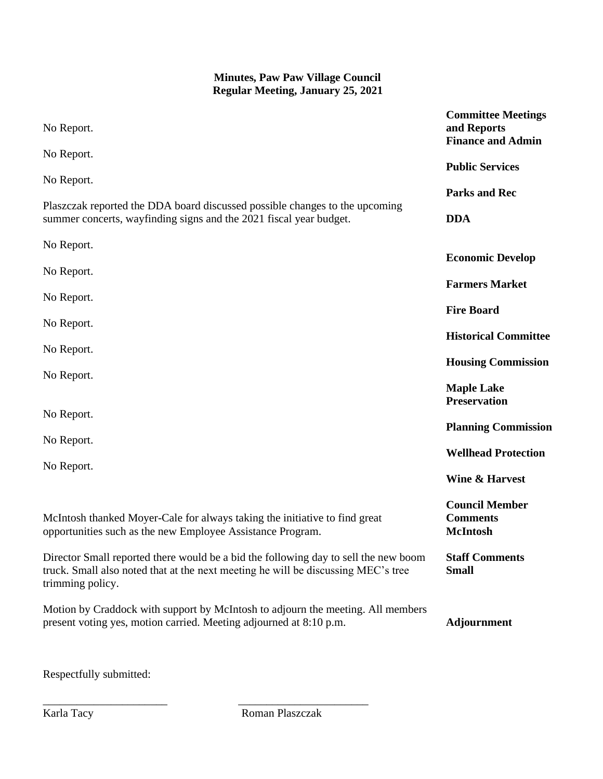## **Minutes, Paw Paw Village Council Regular Meeting, January 25, 2021**

| No Report.                                                                                                                                                                                   | <b>Committee Meetings</b><br>and Reports<br><b>Finance and Admin</b> |
|----------------------------------------------------------------------------------------------------------------------------------------------------------------------------------------------|----------------------------------------------------------------------|
| No Report.                                                                                                                                                                                   | <b>Public Services</b>                                               |
| No Report.                                                                                                                                                                                   | <b>Parks and Rec</b>                                                 |
| Plaszczak reported the DDA board discussed possible changes to the upcoming<br>summer concerts, wayfinding signs and the 2021 fiscal year budget.                                            | <b>DDA</b>                                                           |
| No Report.                                                                                                                                                                                   | <b>Economic Develop</b>                                              |
| No Report.                                                                                                                                                                                   | <b>Farmers Market</b>                                                |
| No Report.                                                                                                                                                                                   | <b>Fire Board</b>                                                    |
| No Report.                                                                                                                                                                                   | <b>Historical Committee</b>                                          |
| No Report.                                                                                                                                                                                   | <b>Housing Commission</b>                                            |
| No Report.                                                                                                                                                                                   | <b>Maple Lake</b><br><b>Preservation</b>                             |
| No Report.                                                                                                                                                                                   | <b>Planning Commission</b>                                           |
| No Report.<br>No Report.                                                                                                                                                                     | <b>Wellhead Protection</b>                                           |
|                                                                                                                                                                                              | <b>Wine &amp; Harvest</b>                                            |
| McIntosh thanked Moyer-Cale for always taking the initiative to find great<br>opportunities such as the new Employee Assistance Program.                                                     | <b>Council Member</b><br><b>Comments</b><br><b>McIntosh</b>          |
| Director Small reported there would be a bid the following day to sell the new boom<br>truck. Small also noted that at the next meeting he will be discussing MEC's tree<br>trimming policy. | <b>Staff Comments</b><br><b>Small</b>                                |
| Motion by Craddock with support by McIntosh to adjourn the meeting. All members<br>present voting yes, motion carried. Meeting adjourned at 8:10 p.m.                                        | <b>Adjournment</b>                                                   |

Respectfully submitted:

Karla Tacy Roman Plaszczak

\_\_\_\_\_\_\_\_\_\_\_\_\_\_\_\_\_\_\_\_\_\_ \_\_\_\_\_\_\_\_\_\_\_\_\_\_\_\_\_\_\_\_\_\_\_